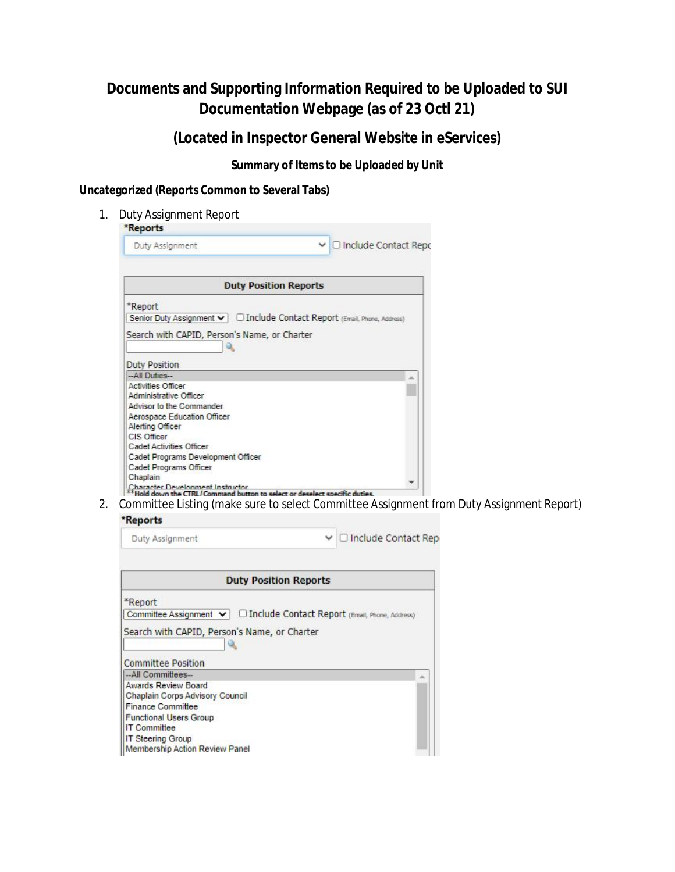**(Located in Inspector General Website in eServices)**

**Summary of Items to be Uploaded by Unit**

**Uncategorized (Reports Common to Several Tabs)**

1. Duty Assignment Report

| Duty Assignment                                                                                                 | $\vee$ O Include Contact Repo                                             |
|-----------------------------------------------------------------------------------------------------------------|---------------------------------------------------------------------------|
|                                                                                                                 |                                                                           |
|                                                                                                                 | <b>Duty Position Reports</b>                                              |
| *Report                                                                                                         |                                                                           |
|                                                                                                                 | Senior Duty Assignment v   1nclude Contact Report (Email, Phone, Address) |
| Search with CAPID, Person's Name, or Charter                                                                    |                                                                           |
|                                                                                                                 |                                                                           |
|                                                                                                                 |                                                                           |
| <b>Duty Position</b>                                                                                            |                                                                           |
| -All Duties-<br><b>Activities Officer</b>                                                                       |                                                                           |
| Administrative Officer                                                                                          |                                                                           |
| Advisor to the Commander                                                                                        |                                                                           |
|                                                                                                                 |                                                                           |
| Aerospace Education Officer<br>Alerting Officer                                                                 |                                                                           |
| CIS Officer                                                                                                     |                                                                           |
| <b>Cadet Activities Officer</b>                                                                                 |                                                                           |
|                                                                                                                 |                                                                           |
| Cadet Programs Development Officer                                                                              |                                                                           |
| Cadet Programs Officer                                                                                          |                                                                           |
| Chaplain                                                                                                        |                                                                           |
| Character Development Instructor<br>** Hold down the CTRL/Command button to select or deselect specific duties. |                                                                           |

2. Committee Listing (make sure to select Committee Assignment from Duty Assignment Report)

#### \*Reports

| Duty Assignment | $\vee$ $\Box$ Include Contact Rep |
|-----------------|-----------------------------------|
|-----------------|-----------------------------------|

| <b>Duty Position Reports</b>                                              |  |  |
|---------------------------------------------------------------------------|--|--|
| *Report                                                                   |  |  |
| Committee Assignment v   0 Include Contact Report (Email, Phone, Address) |  |  |
| Search with CAPID, Person's Name, or Charter                              |  |  |
| <b>Committee Position</b>                                                 |  |  |
| --All Committees--                                                        |  |  |
| <b>Awards Review Board</b>                                                |  |  |
| <b>Chaplain Corps Advisory Council</b>                                    |  |  |
| <b>Finance Committee</b>                                                  |  |  |
| <b>Functional Users Group</b>                                             |  |  |
| <b>IT Committee</b>                                                       |  |  |
| <b>IT Steering Group</b>                                                  |  |  |
| Membership Action Review Panel                                            |  |  |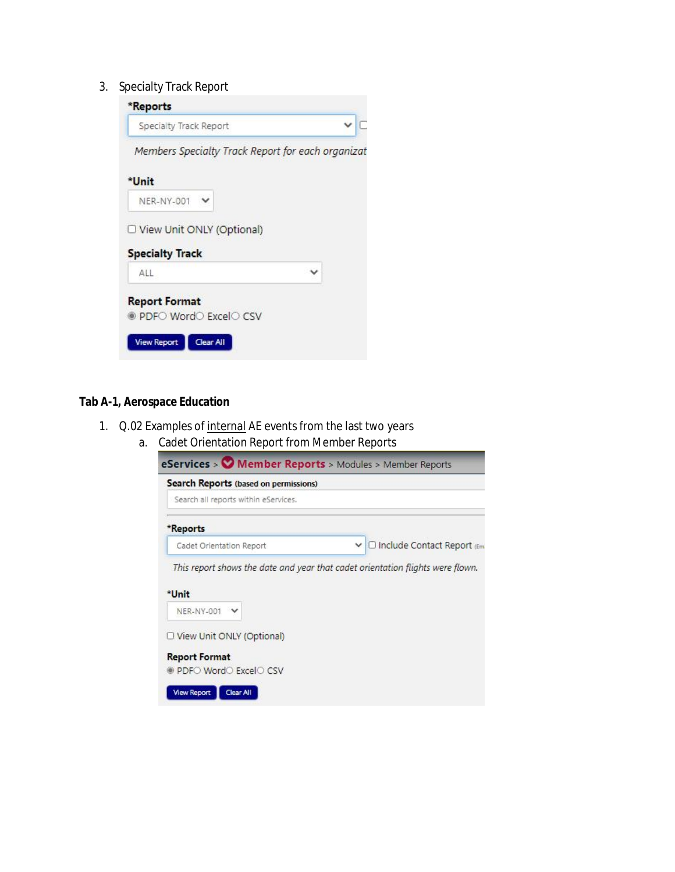3. Specialty Track Report



#### **Tab A-1, Aerospace Education**

- 1. Q.02 Examples of internal AE events from the last two years
	- a. Cadet Orientation Report from Member Reports

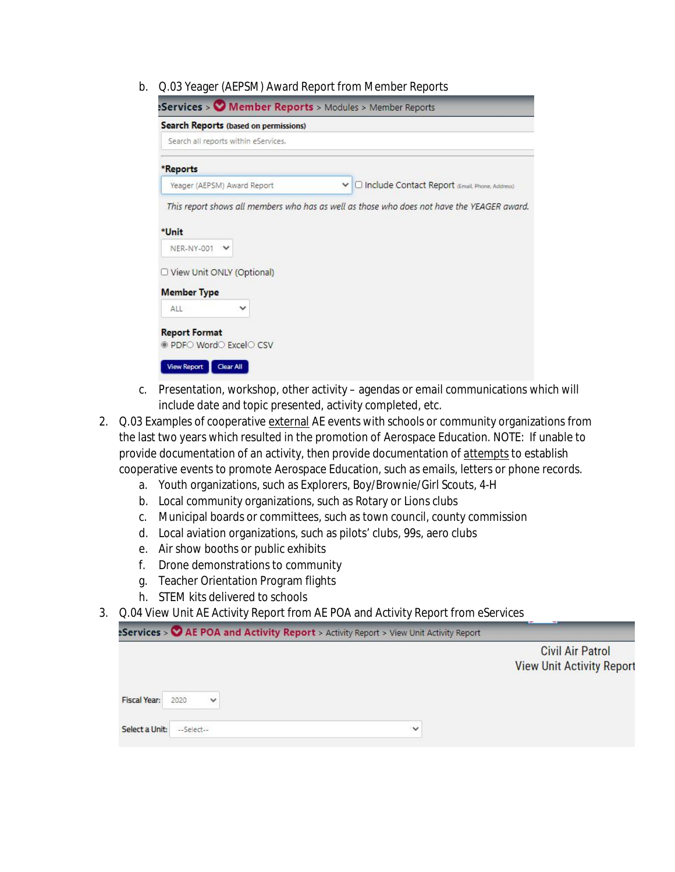b. Q.03 Yeager (AEPSM) Award Report from Member Reports

| Search Reports (based on permissions)           |                                                    |
|-------------------------------------------------|----------------------------------------------------|
| Search all reports within eServices.            |                                                    |
| *Reports                                        |                                                    |
| Yeager (AEPSM) Award Report                     | ▽ O Include Contact Report (Email, Phone, Address) |
| *Unit                                           |                                                    |
| NER-NY-001 V<br>O View Unit ONLY (Optional)     |                                                    |
| <b>Member Type</b>                              |                                                    |
| ALL.<br>v                                       |                                                    |
| <b>Report Format</b><br>● PDF○ Word○ Excel○ CSV |                                                    |

- c. Presentation, workshop, other activity agendas or email communications which will include date and topic presented, activity completed, etc.
- 2. Q.03 Examples of cooperative external AE events with schools or community organizations from the last two years which resulted in the promotion of Aerospace Education. NOTE: If unable to provide documentation of an activity, then provide documentation of attempts to establish cooperative events to promote Aerospace Education, such as emails, letters or phone records.
	- a. Youth organizations, such as Explorers, Boy/Brownie/Girl Scouts, 4-H
	- b. Local community organizations, such as Rotary or Lions clubs
	- c. Municipal boards or committees, such as town council, county commission
	- d. Local aviation organizations, such as pilots' clubs, 99s, aero clubs
	- e. Air show booths or public exhibits
	- f. Drone demonstrations to community
	- g. Teacher Orientation Program flights
	- h. STEM kits delivered to schools
- 3. Q.04 View Unit AE Activity Report from AE POA and Activity Report from eServices

Services > © AE POA and Activity Report > Activity Report > View Unit Activity Report

|                     |            |             |              | <b>Civil Air Patrol</b>          |
|---------------------|------------|-------------|--------------|----------------------------------|
|                     |            |             |              | <b>View Unit Activity Report</b> |
| <b>Fiscal Year:</b> | 2020       | $\check{ }$ |              |                                  |
| Select a Unit:      | --Select-- |             | $\checkmark$ |                                  |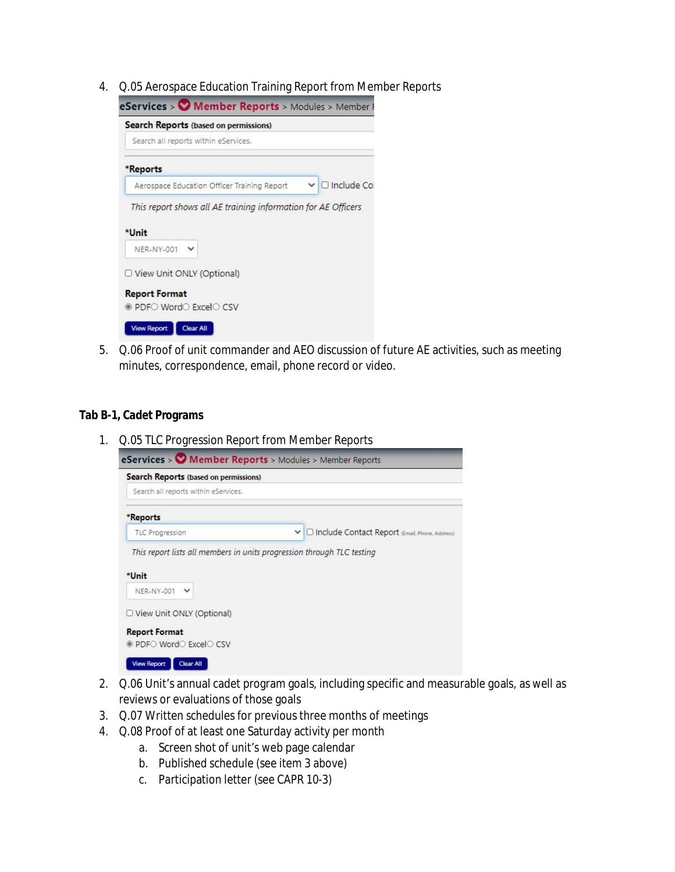4. Q.05 Aerospace Education Training Report from Member Reports

| Search Reports (based on permissions)                                  |  |                     |
|------------------------------------------------------------------------|--|---------------------|
| Search all reports within eServices.                                   |  |                     |
| *Reports                                                               |  |                     |
| Aerospace Education Officer Training Report                            |  | $\vee$ O Include Co |
|                                                                        |  |                     |
| This report shows all AE training information for AE Officers<br>*Unit |  |                     |
| NER-NY-001 V                                                           |  |                     |
| O View Unit ONLY (Optional)                                            |  |                     |
| <b>Report Format</b>                                                   |  |                     |

5. Q.06 Proof of unit commander and AEO discussion of future AE activities, such as meeting minutes, correspondence, email, phone record or video.

#### **Tab B-1, Cadet Programs**

1. Q.05 TLC Progression Report from Member Reports

| $e$ Services > $\bullet$ Member Reports > Modules > Member Reports     |                                                            |
|------------------------------------------------------------------------|------------------------------------------------------------|
| Search Reports (based on permissions)                                  |                                                            |
| Search all reports within eServices.                                   |                                                            |
| *Reports                                                               |                                                            |
| <b>TLC Progression</b>                                                 | O Include Contact Report (Email, Phone, Address)<br>$\vee$ |
| This report lists all members in units progression through TLC testing |                                                            |
| *Unit                                                                  |                                                            |
| NER-NY-001 V                                                           |                                                            |
| O View Unit ONLY (Optional)                                            |                                                            |
| <b>Report Format</b>                                                   |                                                            |
| ● PDF○ Word○ Excel○ CSV                                                |                                                            |
|                                                                        |                                                            |

- 2. Q.06 Unit's annual cadet program goals, including specific and measurable goals, as well as reviews or evaluations of those goals
- 3. Q.07 Written schedules for previous three months of meetings
- 4. Q.08 Proof of at least one Saturday activity per month
	- a. Screen shot of unit's web page calendar
	- b. Published schedule (see item 3 above)
	- c. Participation letter (see CAPR 10-3)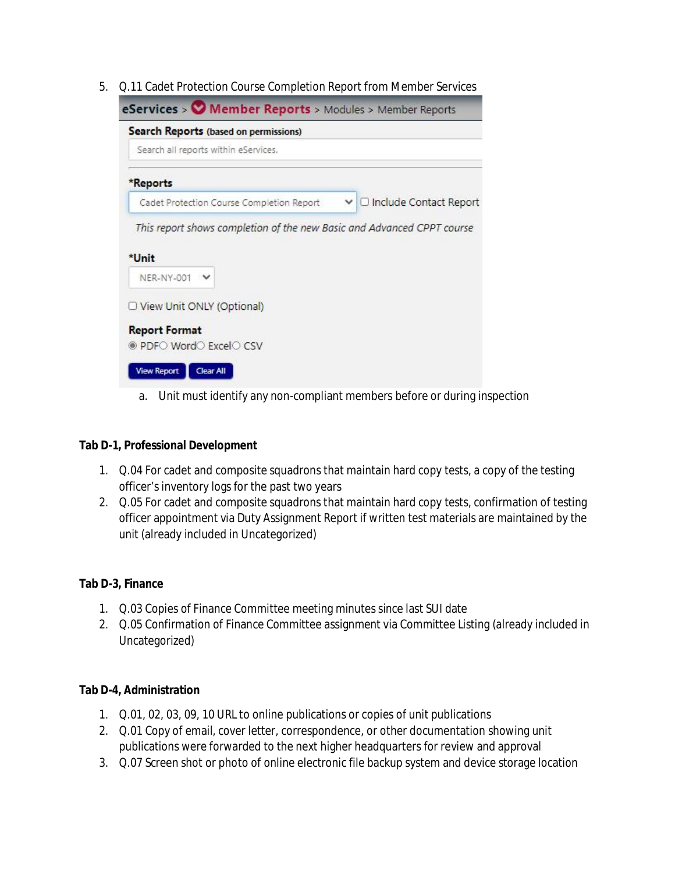5. Q.11 Cadet Protection Course Completion Report from Member Services

| Search Reports (based on permissions)                                  |                            |
|------------------------------------------------------------------------|----------------------------|
| Search all reports within eServices.                                   |                            |
| *Reports                                                               |                            |
| Cadet Protection Course Completion Report                              | ▽ □ Include Contact Report |
| This report shows completion of the new Basic and Advanced CPPT course |                            |
| *Unit<br><b>NER-NY-001</b>                                             |                            |
| O View Unit ONLY (Optional)                                            |                            |

a. Unit must identify any non-compliant members before or during inspection

#### **Tab D-1, Professional Development**

- 1. Q.04 For cadet and composite squadrons that maintain hard copy tests, a copy of the testing officer's inventory logs for the past two years
- 2. Q.05 For cadet and composite squadrons that maintain hard copy tests, confirmation of testing officer appointment via Duty Assignment Report if written test materials are maintained by the unit (already included in Uncategorized)

#### **Tab D-3, Finance**

- 1. Q.03 Copies of Finance Committee meeting minutes since last SUI date
- 2. Q.05 Confirmation of Finance Committee assignment via Committee Listing (already included in Uncategorized)

#### **Tab D-4, Administration**

- 1. Q.01, 02, 03, 09, 10 URL to online publications or copies of unit publications
- 2. Q.01 Copy of email, cover letter, correspondence, or other documentation showing unit publications were forwarded to the next higher headquarters for review and approval
- 3. Q.07 Screen shot or photo of online electronic file backup system and device storage location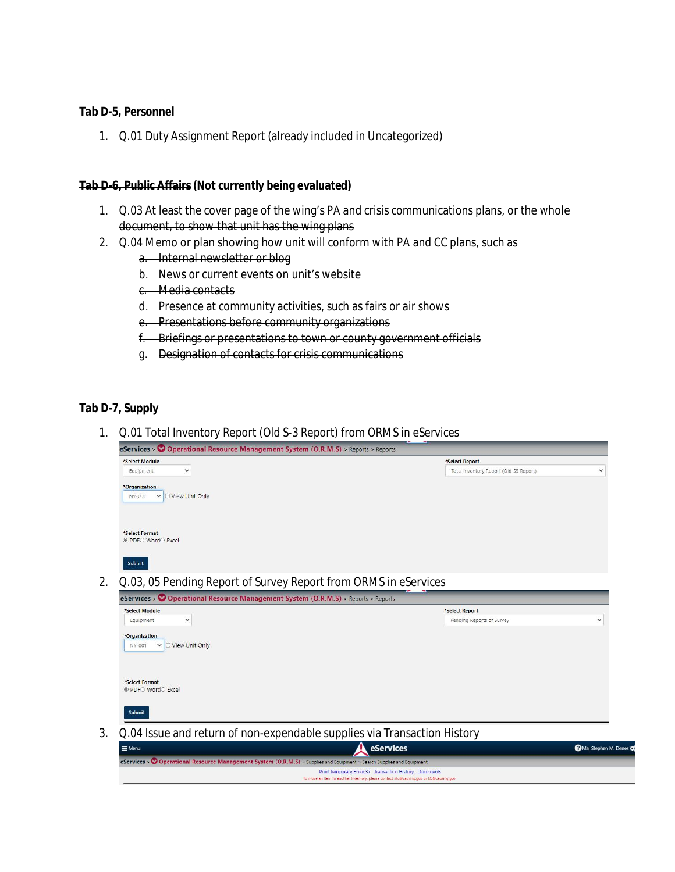**Tab D-5, Personnel**

1. Q.01 Duty Assignment Report (already included in Uncategorized)

#### **Tab D-6, Public Affairs (Not currently being evaluated)**

- 1. Q.03 At least the cover page of the wing's PA and crisis communications plans, or the whole document, to show that unit has the wing plans
- 2. Q.04 Memo or plan showing how unit will conform with PA and CC plans, such as
	- a. Internal newsletter or blog
	- b. News or current events on unit's website
	- c. Media contacts
	- d. Presence at community activities, such as fairs or air shows
	- e. Presentations before community organizations
	- f. Briefings or presentations to town or county government officials
	- g. Designation of contacts for crisis communications

#### **Tab D-7, Supply**

1. Q.01 Total Inventory Report (Old S-3 Report) from ORMS in eServices

| *Select Module                                                                     | *Select Report                         |              |
|------------------------------------------------------------------------------------|----------------------------------------|--------------|
| $\checkmark$<br>Equipment                                                          | Total Inventory Report (Old S3 Report) | ◡            |
| *Organization                                                                      |                                        |              |
| ▽ O View Unit Only<br>NY-001                                                       |                                        |              |
|                                                                                    |                                        |              |
| *Select Format                                                                     |                                        |              |
| PDFO WordO Excel                                                                   |                                        |              |
|                                                                                    |                                        |              |
|                                                                                    |                                        |              |
| Submit                                                                             |                                        |              |
|                                                                                    |                                        |              |
| Q.03, 05 Pending Report of Survey Report from ORMS in eServices                    |                                        |              |
| eServices > © Operational Resource Management System (O.R.M.S) > Reports > Reports |                                        |              |
|                                                                                    | *Select Report                         |              |
| $\checkmark$<br>Equipment                                                          | Pending Reports of Survey              | $\checkmark$ |
| *Select Module<br>*Organization                                                    |                                        |              |
| $\vee$ O View Unit Only<br>NY-001                                                  |                                        |              |
|                                                                                    |                                        |              |
|                                                                                    |                                        |              |
| *Select Format                                                                     |                                        |              |
| ● PDF○ Word○ Excel                                                                 |                                        |              |
|                                                                                    |                                        |              |

| $\equiv$ Menu | <b>A</b> eServices                                                                                                    | Maj Stephen M. Denes |
|---------------|-----------------------------------------------------------------------------------------------------------------------|----------------------|
|               | eServices > Operational Resource Management System (O.R.M.S) > Supplies and Equipment > Search Supplies and Equipment |                      |
|               | Print Temporary Form 37 Transaction History Documents                                                                 |                      |
|               | To move an item to another inventory, please contact ntc@capnhq.gov or LG@capnhq.gov                                  |                      |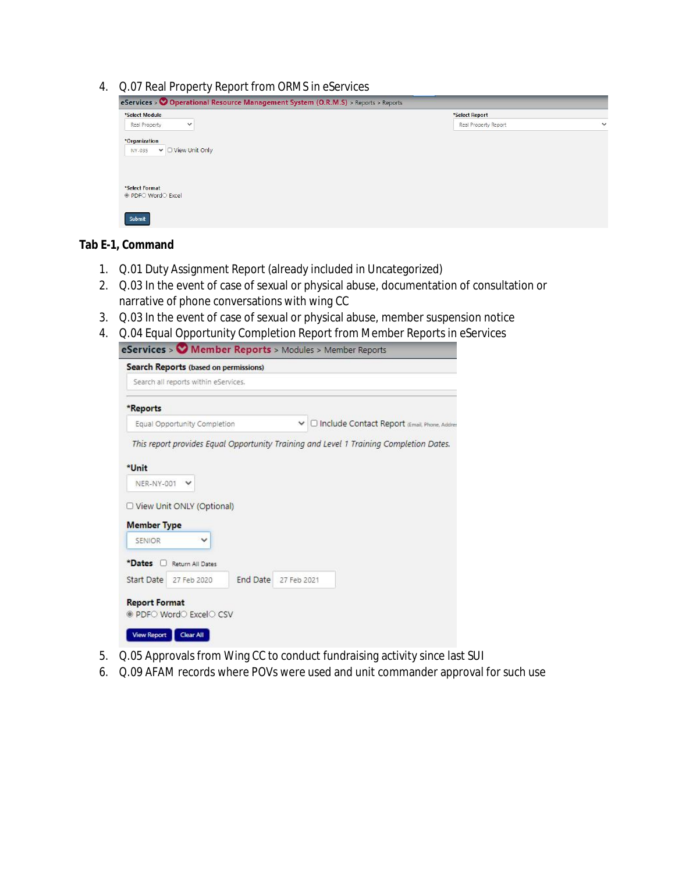4. Q.07 Real Property Report from ORMS in eServices

| eServices > O Operational Resource Management System (O.R.M.S) > Reports > Reports |                      |              |
|------------------------------------------------------------------------------------|----------------------|--------------|
| *Select Module                                                                     | *Select Report       |              |
| Real Property<br>$\checkmark$                                                      | Real Property Report | $\checkmark$ |
| *Organization<br>$\vee$ $\Box$ View Unit Only<br>NY-035                            |                      |              |
| *Select Format<br>● PDF○ Word○ Excel                                               |                      |              |
| Submit                                                                             |                      |              |

**Tab E-1, Command**

- 1. Q.01 Duty Assignment Report (already included in Uncategorized)
- 2. Q.03 In the event of case of sexual or physical abuse, documentation of consultation or narrative of phone conversations with wing CC
- 3. Q.03 In the event of case of sexual or physical abuse, member suspension notice
- 4. Q.04 Equal Opportunity Completion Report from Member Reports in eServices

| □ Include Contact Report (Email, Phone, Addr<br>This report provides Equal Opportunity Training and Level 1 Training Completion Dates. |
|----------------------------------------------------------------------------------------------------------------------------------------|
|                                                                                                                                        |
|                                                                                                                                        |
|                                                                                                                                        |
|                                                                                                                                        |
|                                                                                                                                        |
|                                                                                                                                        |
|                                                                                                                                        |
|                                                                                                                                        |
| 27 Feb 2021                                                                                                                            |
|                                                                                                                                        |

- 5. Q.05 Approvals from Wing CC to conduct fundraising activity since last SUI
- 6. Q.09 AFAM records where POVs were used and unit commander approval for such use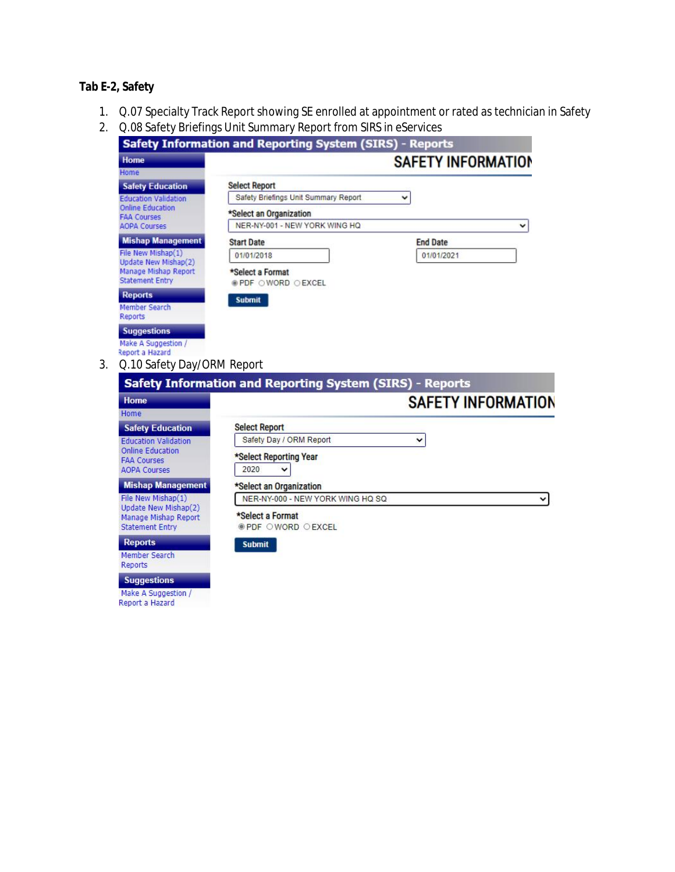**Tab E-2, Safety**

- 1. Q.07 Specialty Track Report showing SE enrolled at appointment or rated as technician in Safety
- 2. Q.08 Safety Briefings Unit Summary Report from SIRS in eServices

| <b>Safety Information and Reporting System (SIRS) - Reports</b>                              |                                              |                           |  |  |  |
|----------------------------------------------------------------------------------------------|----------------------------------------------|---------------------------|--|--|--|
| Home                                                                                         |                                              | <b>SAFETY INFORMATION</b> |  |  |  |
| Home                                                                                         |                                              |                           |  |  |  |
| <b>Safety Education</b>                                                                      | <b>Select Report</b>                         |                           |  |  |  |
| <b>Education Validation</b><br><b>Online Education</b><br><b>FAA Courses</b>                 | Safety Briefings Unit Summary Report         | $\checkmark$              |  |  |  |
|                                                                                              | *Select an Organization                      |                           |  |  |  |
| <b>AOPA Courses</b>                                                                          | NER-NY-001 - NEW YORK WING HQ                | $\checkmark$              |  |  |  |
| <b>Mishap Management</b>                                                                     | <b>Start Date</b>                            | <b>End Date</b>           |  |  |  |
| File New Mishap(1)<br>Update New Mishap(2)<br>Manage Mishap Report<br><b>Statement Entry</b> | 01/01/2018                                   | 01/01/2021                |  |  |  |
|                                                                                              | *Select a Format<br><b>OPDF OWORD OEXCEL</b> |                           |  |  |  |
| <b>Reports</b>                                                                               | <b>Submit</b>                                |                           |  |  |  |
| Member Search<br><b>Reports</b>                                                              |                                              |                           |  |  |  |
| <b>Suggestions</b>                                                                           |                                              |                           |  |  |  |
| Make A Suggestion /<br>Report a Hazard                                                       |                                              |                           |  |  |  |

3. Q.10 Safety Day/ORM Report

| Home                                                                   | <b>SAFETY INFORMATION</b>                      |              |  |
|------------------------------------------------------------------------|------------------------------------------------|--------------|--|
| Home                                                                   |                                                |              |  |
| <b>Safety Education</b>                                                | <b>Select Report</b>                           |              |  |
| <b>Education Validation</b>                                            | Safety Day / ORM Report                        | $\checkmark$ |  |
| Online Education<br><b>FAA Courses</b><br><b>AOPA Courses</b>          | *Select Reporting Year<br>2020<br>$\checkmark$ |              |  |
| <b>Mishap Management</b>                                               | *Select an Organization                        |              |  |
| File New Mishap(1)                                                     | NER-NY-000 - NEW YORK WING HQ SQ               |              |  |
| Update New Mishap(2)<br>Manage Mishap Report<br><b>Statement Entry</b> | *Select a Format<br><b>OPDF OWORD OEXCEL</b>   |              |  |
| <b>Reports</b>                                                         | <b>Submit</b>                                  |              |  |
| Member Search<br>Reports                                               |                                                |              |  |
| <b>Suggestions</b>                                                     |                                                |              |  |
|                                                                        |                                                |              |  |

Make A Suggestion /<br>Report a Hazard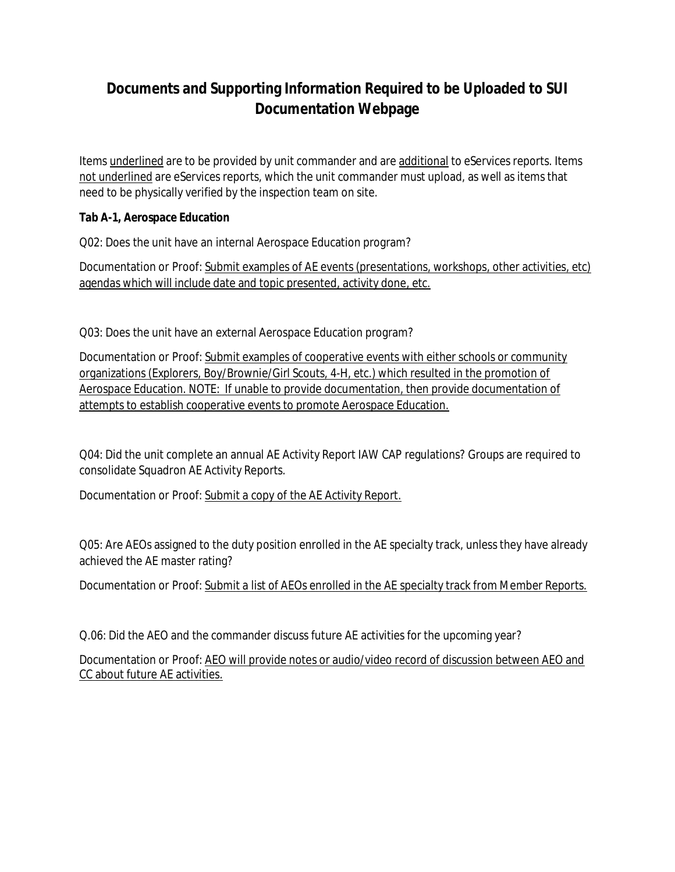Items underlined are to be provided by unit commander and are additional to eServices reports. Items not underlined are eServices reports, which the unit commander must upload, as well as items that need to be physically verified by the inspection team on site.

**Tab A-1, Aerospace Education**

Q02: Does the unit have an internal Aerospace Education program?

Documentation or Proof: Submit examples of AE events (presentations, workshops, other activities, etc) agendas which will include date and topic presented, activity done, etc.

Q03: Does the unit have an external Aerospace Education program?

Documentation or Proof: Submit examples of cooperative events with either schools or community organizations (Explorers, Boy/Brownie/Girl Scouts, 4-H, etc.) which resulted in the promotion of Aerospace Education. NOTE: If unable to provide documentation, then provide documentation of attempts to establish cooperative events to promote Aerospace Education.

Q04: Did the unit complete an annual AE Activity Report IAW CAP regulations? Groups are required to consolidate Squadron AE Activity Reports.

Documentation or Proof: Submit a copy of the AE Activity Report.

Q05: Are AEOs assigned to the duty position enrolled in the AE specialty track, unless they have already achieved the AE master rating?

Documentation or Proof: Submit a list of AEOs enrolled in the AE specialty track from Member Reports.

Q.06: Did the AEO and the commander discuss future AE activities for the upcoming year?

Documentation or Proof: AEO will provide notes or audio/video record of discussion between AEO and CC about future AE activities.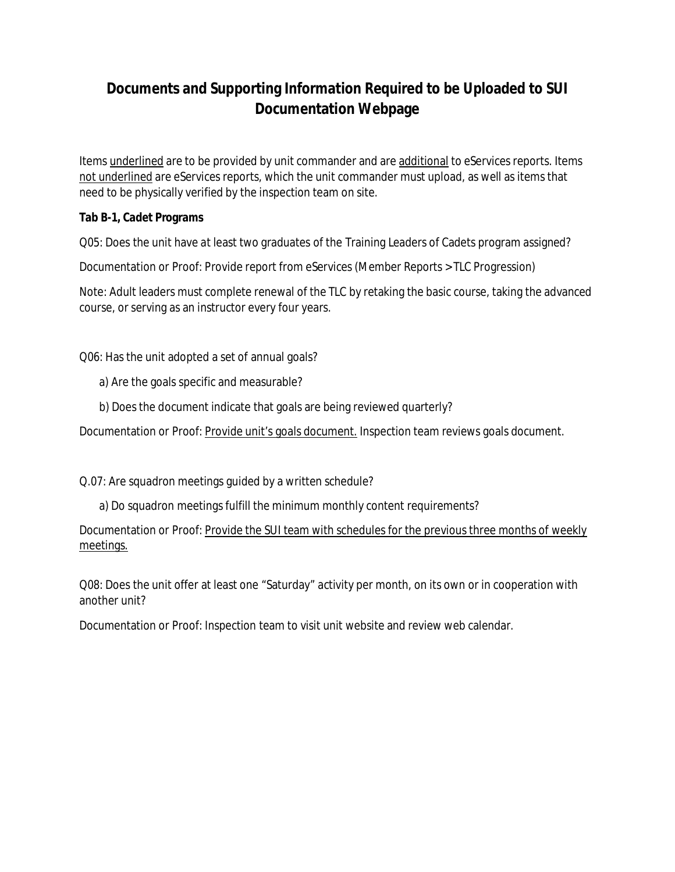Items underlined are to be provided by unit commander and are additional to eServices reports. Items not underlined are eServices reports, which the unit commander must upload, as well as items that need to be physically verified by the inspection team on site.

**Tab B-1, Cadet Programs**

Q05: Does the unit have at least two graduates of the Training Leaders of Cadets program assigned?

Documentation or Proof: Provide report from eServices (Member Reports > TLC Progression)

Note: Adult leaders must complete renewal of the TLC by retaking the basic course, taking the advanced course, or serving as an instructor every four years.

Q06: Has the unit adopted a set of annual goals?

- a) Are the goals specific and measurable?
- b) Does the document indicate that goals are being reviewed quarterly?

Documentation or Proof: Provide unit's goals document. Inspection team reviews goals document.

Q.07: Are squadron meetings guided by a written schedule?

a) Do squadron meetings fulfill the minimum monthly content requirements?

Documentation or Proof: Provide the SUI team with schedules for the previous three months of weekly meetings.

Q08: Does the unit offer at least one "Saturday" activity per month, on its own or in cooperation with another unit?

Documentation or Proof: Inspection team to visit unit website and review web calendar.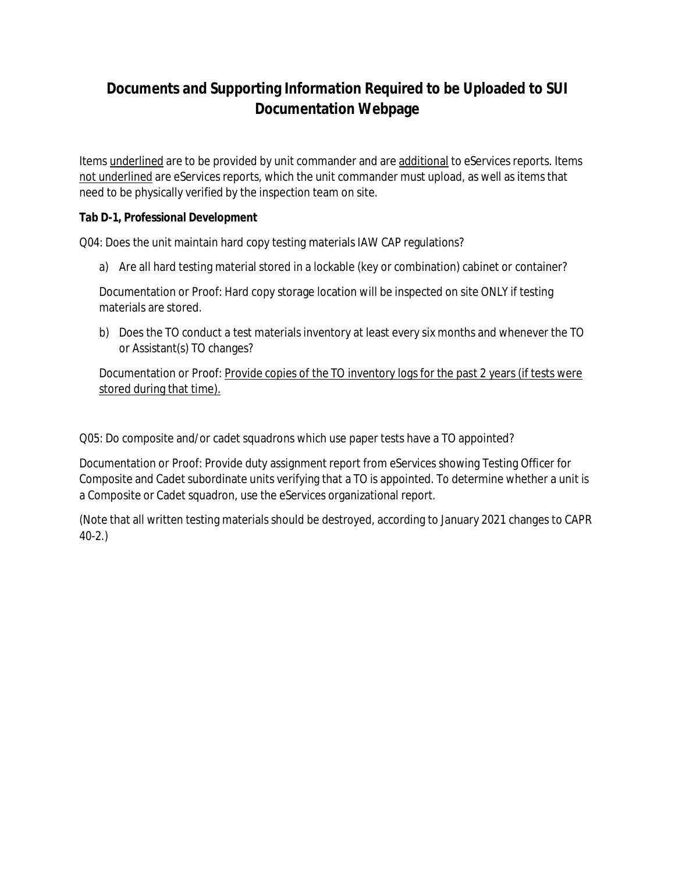Items underlined are to be provided by unit commander and are additional to eServices reports. Items not underlined are eServices reports, which the unit commander must upload, as well as items that need to be physically verified by the inspection team on site.

**Tab D-1, Professional Development**

Q04: Does the unit maintain hard copy testing materials IAW CAP regulations?

a) Are all hard testing material stored in a lockable (key or combination) cabinet or container?

Documentation or Proof: Hard copy storage location will be inspected on site ONLY if testing materials are stored.

b) Does the TO conduct a test materials inventory at least every six months and whenever the TO or Assistant(s) TO changes?

Documentation or Proof: Provide copies of the TO inventory logs for the past 2 years (if tests were stored during that time).

Q05: Do composite and/or cadet squadrons which use paper tests have a TO appointed?

Documentation or Proof: Provide duty assignment report from eServices showing Testing Officer for Composite and Cadet subordinate units verifying that a TO is appointed. To determine whether a unit is a Composite or Cadet squadron, use the eServices organizational report.

(Note that all written testing materials should be destroyed, according to January 2021 changes to CAPR 40-2.)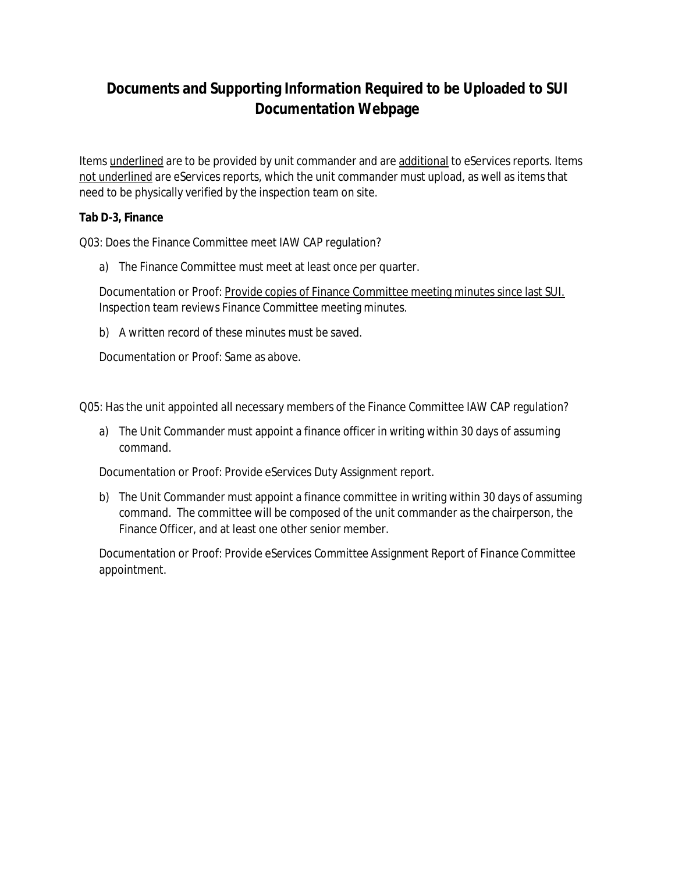Items underlined are to be provided by unit commander and are additional to eServices reports. Items not underlined are eServices reports, which the unit commander must upload, as well as items that need to be physically verified by the inspection team on site.

**Tab D-3, Finance**

Q03: Does the Finance Committee meet IAW CAP regulation?

a) The Finance Committee must meet at least once per quarter.

Documentation or Proof: Provide copies of Finance Committee meeting minutes since last SUI. Inspection team reviews Finance Committee meeting minutes.

b) A written record of these minutes must be saved.

Documentation or Proof: Same as above.

Q05: Has the unit appointed all necessary members of the Finance Committee IAW CAP regulation?

a) The Unit Commander must appoint a finance officer in writing within 30 days of assuming command.

Documentation or Proof: Provide eServices *Duty* Assignment report.

b) The Unit Commander must appoint a finance committee in writing within 30 days of assuming command. The committee will be composed of the unit commander as the chairperson, the Finance Officer, and at least one other senior member.

Documentation or Proof: Provide eServices *Committee* Assignment Report of *Finance Committee* appointment.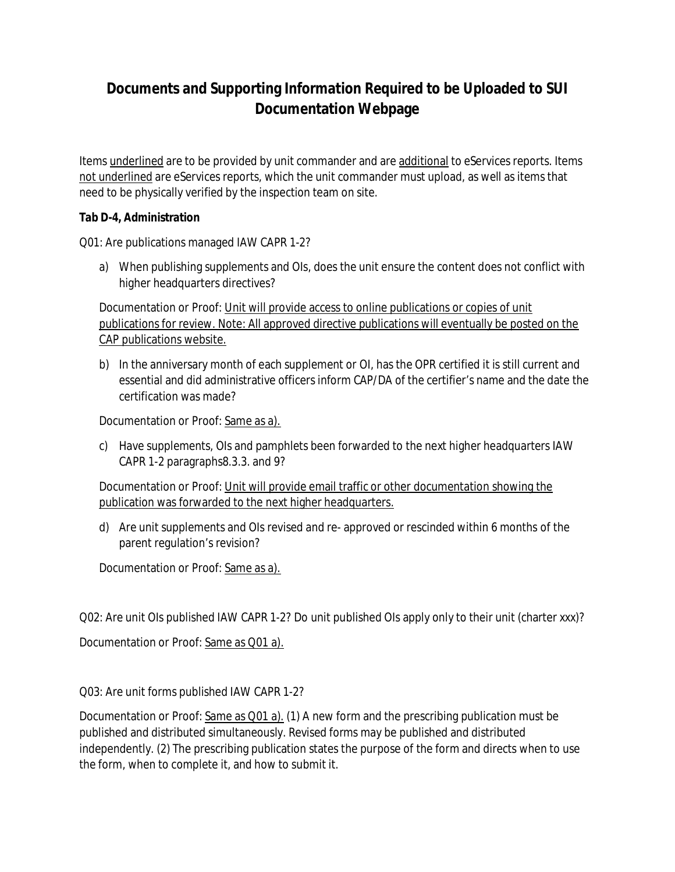Items underlined are to be provided by unit commander and are additional to eServices reports. Items not underlined are eServices reports, which the unit commander must upload, as well as items that need to be physically verified by the inspection team on site.

**Tab D-4, Administration**

Q01: Are publications managed IAW CAPR 1-2?

a) When publishing supplements and OIs, does the unit ensure the content does not conflict with higher headquarters directives?

Documentation or Proof: Unit will provide access to online publications or copies of unit publications for review. Note: All approved directive publications will eventually be posted on the CAP publications website.

b) In the anniversary month of each supplement or OI, has the OPR certified it is still current and essential and did administrative officers inform CAP/DA of the certifier's name and the date the certification was made?

Documentation or Proof: Same as a).

c) Have supplements, OIs and pamphlets been forwarded to the next higher headquarters IAW CAPR 1-2 paragraphs8.3.3. and 9?

Documentation or Proof: Unit will provide email traffic or other documentation showing the publication was forwarded to the next higher headquarters.

d) Are unit supplements and OIs revised and re- approved or rescinded within 6 months of the parent regulation's revision?

Documentation or Proof: Same as a).

Q02: Are unit OIs published IAW CAPR 1-2? Do unit published OIs apply only to their unit (charter xxx)?

Documentation or Proof: Same as Q01 a).

Q03: Are unit forms published IAW CAPR 1-2?

Documentation or Proof: Same as Q01 a). (1) A new form and the prescribing publication must be published and distributed simultaneously. Revised forms may be published and distributed independently. (2) The prescribing publication states the purpose of the form and directs when to use the form, when to complete it, and how to submit it.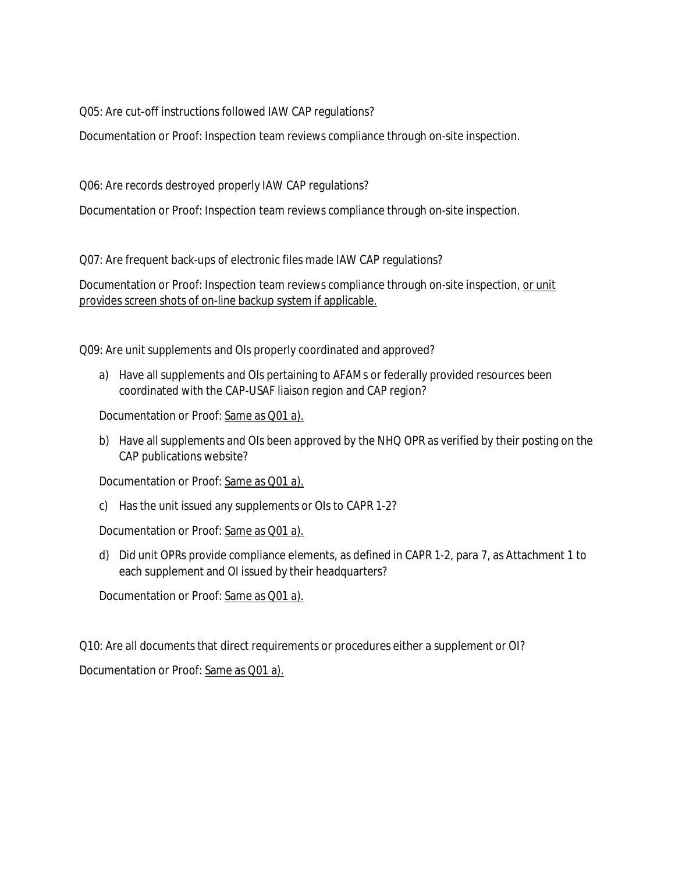Q05: Are cut-off instructions followed IAW CAP regulations?

Documentation or Proof: Inspection team reviews compliance through on-site inspection.

Q06: Are records destroyed properly IAW CAP regulations?

Documentation or Proof: Inspection team reviews compliance through on-site inspection.

Q07: Are frequent back-ups of electronic files made IAW CAP regulations?

Documentation or Proof: Inspection team reviews compliance through on-site inspection, or unit provides screen shots of on-line backup system if applicable.

Q09: Are unit supplements and OIs properly coordinated and approved?

a) Have all supplements and OIs pertaining to AFAMs or federally provided resources been coordinated with the CAP-USAF liaison region and CAP region?

Documentation or Proof: Same as Q01 a).

b) Have all supplements and OIs been approved by the NHQ OPR as verified by their posting on the CAP publications website?

Documentation or Proof: Same as Q01 a).

c) Has the unit issued any supplements or OIs to CAPR 1-2?

Documentation or Proof: Same as Q01 a).

d) Did unit OPRs provide compliance elements, as defined in CAPR 1-2, para 7, as Attachment 1 to each supplement and OI issued by their headquarters?

Documentation or Proof: Same as Q01 a).

Q10: Are all documents that direct requirements or procedures either a supplement or OI?

Documentation or Proof: Same as Q01 a).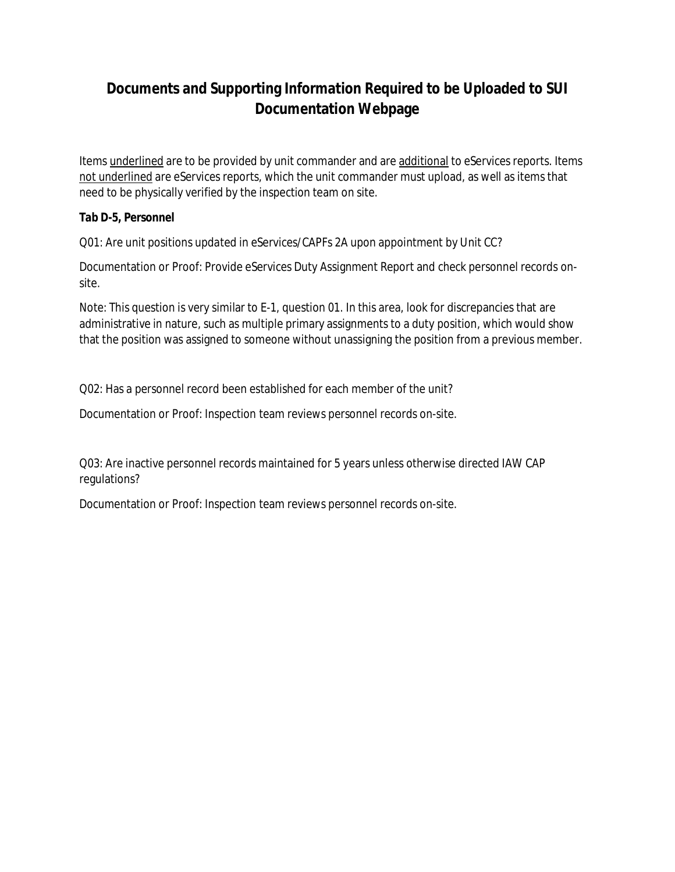Items underlined are to be provided by unit commander and are additional to eServices reports. Items not underlined are eServices reports, which the unit commander must upload, as well as items that need to be physically verified by the inspection team on site.

**Tab D-5, Personnel**

Q01: Are unit positions updated in eServices/CAPFs 2A upon appointment by Unit CC?

Documentation or Proof: Provide eServices Duty Assignment Report and check personnel records onsite.

Note: This question is very similar to E-1, question 01. In this area, look for discrepancies that are administrative in nature, such as multiple primary assignments to a duty position, which would show that the position was assigned to someone without unassigning the position from a previous member.

Q02: Has a personnel record been established for each member of the unit?

Documentation or Proof: Inspection team reviews personnel records on-site.

Q03: Are inactive personnel records maintained for 5 years unless otherwise directed IAW CAP regulations?

Documentation or Proof: Inspection team reviews personnel records on-site.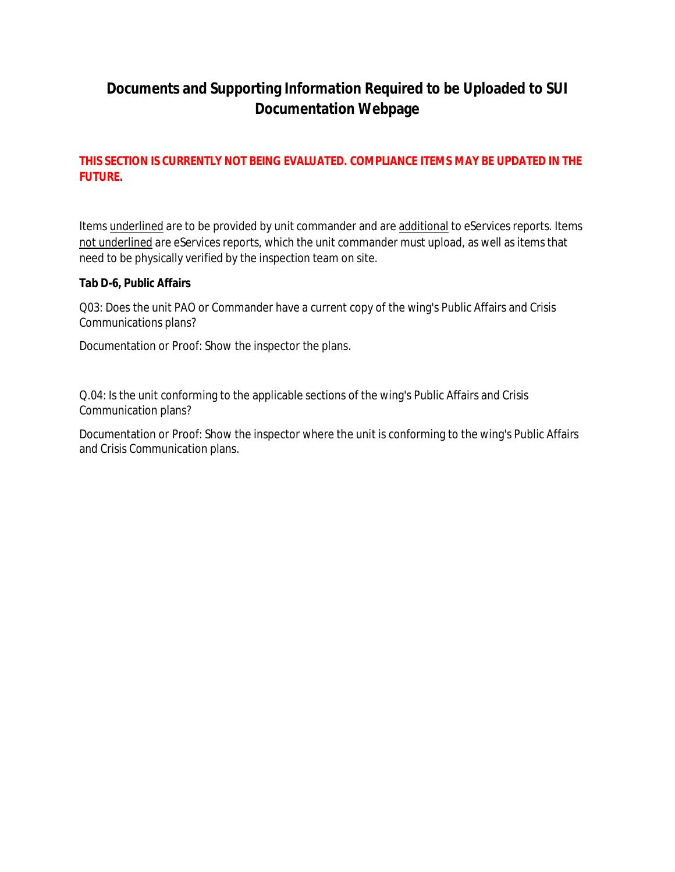#### **THIS SECTION IS CURRENTLY NOT BEING EVALUATED. COMPLIANCE ITEMS MAY BE UPDATED IN THE FUTURE.**

Items underlined are to be provided by unit commander and are additional to eServices reports. Items not underlined are eServices reports, which the unit commander must upload, as well as items that need to be physically verified by the inspection team on site.

**Tab D-6, Public Affairs**

Q03: Does the unit PAO or Commander have a current copy of the wing's Public Affairs and Crisis Communications plans?

Documentation or Proof: Show the inspector the plans.

Q.04: Is the unit conforming to the applicable sections of the wing's Public Affairs and Crisis Communication plans?

Documentation or Proof: Show the inspector where the unit is conforming to the wing's Public Affairs and Crisis Communication plans.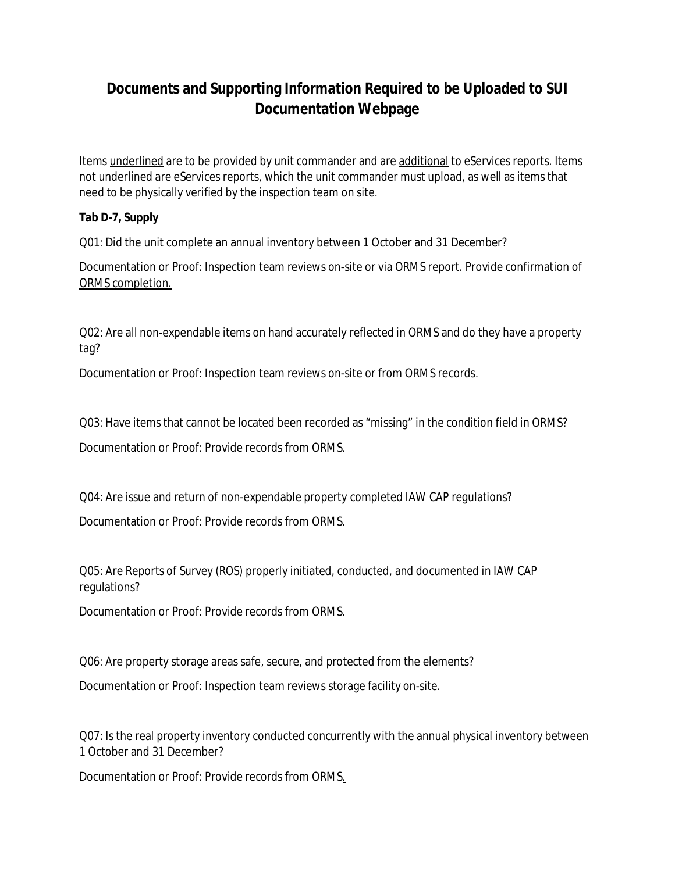Items underlined are to be provided by unit commander and are additional to eServices reports. Items not underlined are eServices reports, which the unit commander must upload, as well as items that need to be physically verified by the inspection team on site.

**Tab D-7, Supply**

Q01: Did the unit complete an annual inventory between 1 October and 31 December?

Documentation or Proof: Inspection team reviews on-site or via ORMS report. Provide confirmation of ORMS completion.

Q02: Are all non-expendable items on hand accurately reflected in ORMS and do they have a property tag?

Documentation or Proof: Inspection team reviews on-site or from ORMS records.

Q03: Have items that cannot be located been recorded as "missing" in the condition field in ORMS?

Documentation or Proof: Provide records from ORMS.

Q04: Are issue and return of non-expendable property completed IAW CAP regulations?

Documentation or Proof: Provide records from ORMS.

Q05: Are Reports of Survey (ROS) properly initiated, conducted, and documented in IAW CAP regulations?

Documentation or Proof: Provide records from ORMS.

Q06: Are property storage areas safe, secure, and protected from the elements?

Documentation or Proof: Inspection team reviews storage facility on-site.

Q07: Is the real property inventory conducted concurrently with the annual physical inventory between 1 October and 31 December?

Documentation or Proof: Provide records from ORMS.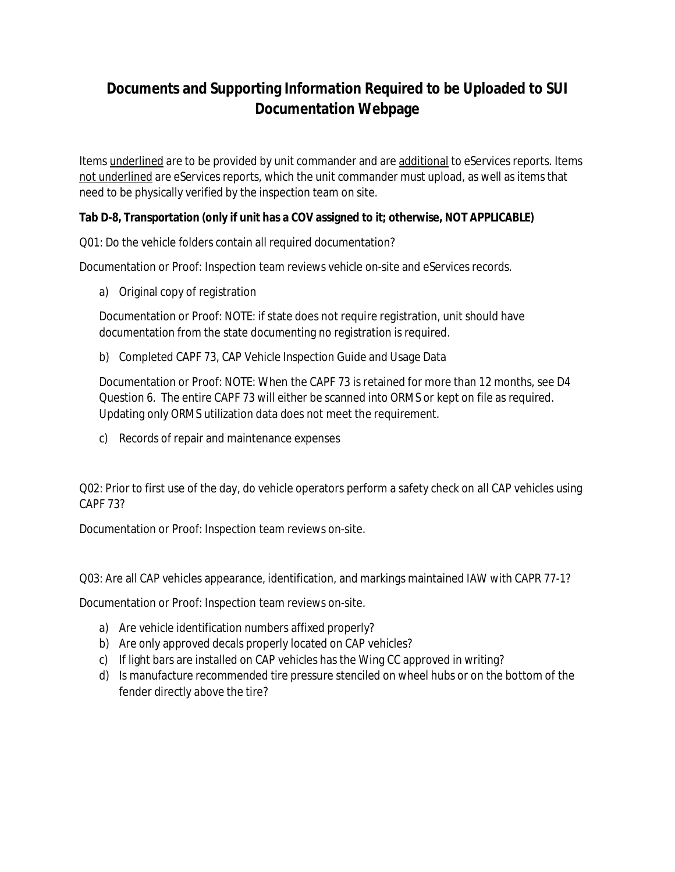Items underlined are to be provided by unit commander and are additional to eServices reports. Items not underlined are eServices reports, which the unit commander must upload, as well as items that need to be physically verified by the inspection team on site.

**Tab D-8, Transportation (only if unit has a COV assigned to it; otherwise, NOT APPLICABLE)**

Q01: Do the vehicle folders contain all required documentation?

Documentation or Proof: Inspection team reviews vehicle on-site and eServices records.

a) Original copy of registration

Documentation or Proof: NOTE: if state does not require registration, unit should have documentation from the state documenting no registration is required.

b) Completed CAPF 73, CAP Vehicle Inspection Guide and Usage Data

Documentation or Proof: NOTE: When the CAPF 73 is retained for more than 12 months, see D4 Question 6. The entire CAPF 73 will either be scanned into ORMS or kept on file as required. Updating only ORMS utilization data does not meet the requirement.

c) Records of repair and maintenance expenses

Q02: Prior to first use of the day, do vehicle operators perform a safety check on all CAP vehicles using CAPF 73?

Documentation or Proof: Inspection team reviews on-site.

Q03: Are all CAP vehicles appearance, identification, and markings maintained IAW with CAPR 77-1?

Documentation or Proof: Inspection team reviews on-site.

- a) Are vehicle identification numbers affixed properly?
- b) Are only approved decals properly located on CAP vehicles?
- c) If light bars are installed on CAP vehicles has the Wing CC approved in writing?
- d) Is manufacture recommended tire pressure stenciled on wheel hubs or on the bottom of the fender directly above the tire?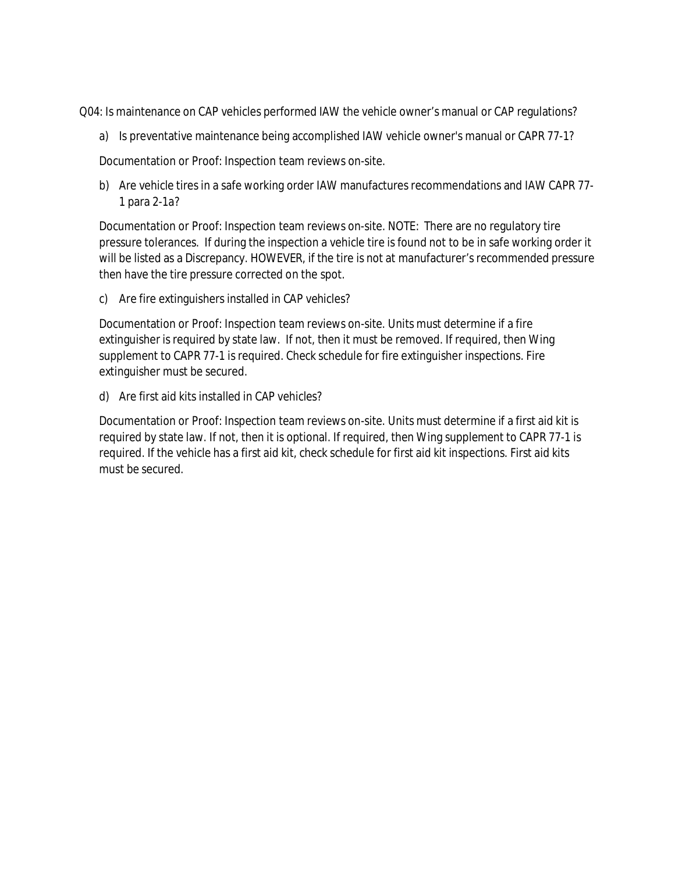Q04: Is maintenance on CAP vehicles performed IAW the vehicle owner's manual or CAP regulations?

a) Is preventative maintenance being accomplished IAW vehicle owner's manual or CAPR 77-1?

Documentation or Proof: Inspection team reviews on-site.

b) Are vehicle tires in a safe working order IAW manufactures recommendations and IAW CAPR 77- 1 para 2-1a?

Documentation or Proof: Inspection team reviews on-site. NOTE: There are no regulatory tire pressure tolerances. If during the inspection a vehicle tire is found not to be in safe working order it will be listed as a Discrepancy. HOWEVER, if the tire is not at manufacturer's recommended pressure then have the tire pressure corrected on the spot.

c) Are fire extinguishers installed in CAP vehicles?

Documentation or Proof: Inspection team reviews on-site. Units must determine if a fire extinguisher is required by state law. If not, then it must be removed. If required, then Wing supplement to CAPR 77-1 is required. Check schedule for fire extinguisher inspections. Fire extinguisher must be secured.

d) Are first aid kits installed in CAP vehicles?

Documentation or Proof: Inspection team reviews on-site. Units must determine if a first aid kit is required by state law. If not, then it is optional. If required, then Wing supplement to CAPR 77-1 is required. If the vehicle has a first aid kit, check schedule for first aid kit inspections. First aid kits must be secured.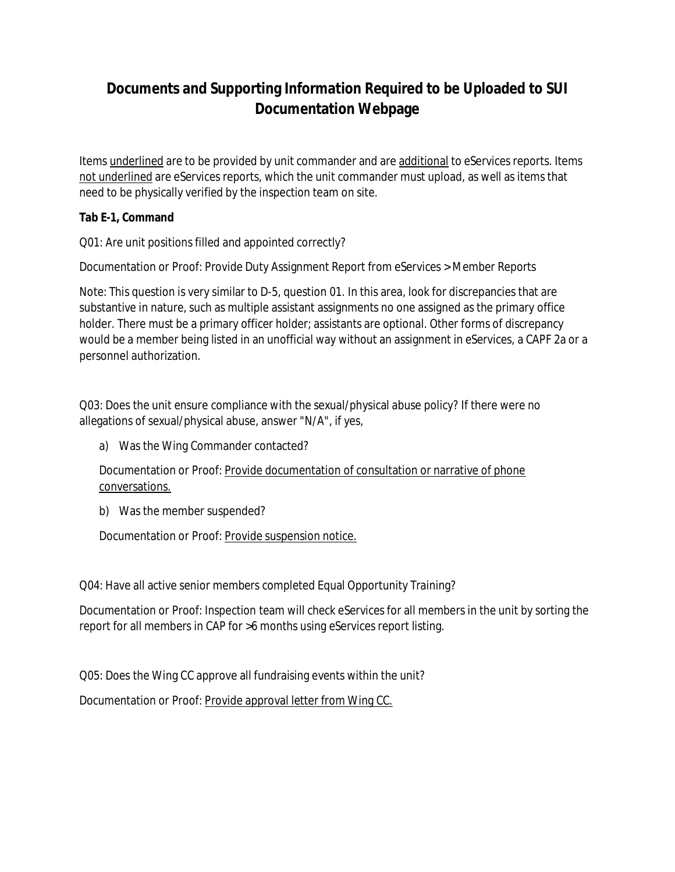Items underlined are to be provided by unit commander and are additional to eServices reports. Items not underlined are eServices reports, which the unit commander must upload, as well as items that need to be physically verified by the inspection team on site.

**Tab E-1, Command**

Q01: Are unit positions filled and appointed correctly?

Documentation or Proof: Provide Duty Assignment Report from eServices > Member Reports

Note: This question is very similar to D-5, question 01. In this area, look for discrepancies that are substantive in nature, such as multiple assistant assignments no one assigned as the primary office holder. There must be a primary officer holder; assistants are optional. Other forms of discrepancy would be a member being listed in an unofficial way without an assignment in eServices, a CAPF 2a or a personnel authorization.

Q03: Does the unit ensure compliance with the sexual/physical abuse policy? If there were no allegations of sexual/physical abuse, answer "N/A", if yes,

a) Was the Wing Commander contacted?

Documentation or Proof: Provide documentation of consultation or narrative of phone conversations.

b) Was the member suspended?

Documentation or Proof: Provide suspension notice.

Q04: Have all active senior members completed Equal Opportunity Training?

Documentation or Proof: Inspection team will check eServices for all members in the unit by sorting the report for all members in CAP for >6 months using eServices report listing.

Q05: Does the Wing CC approve all fundraising events within the unit?

Documentation or Proof: Provide approval letter from Wing CC.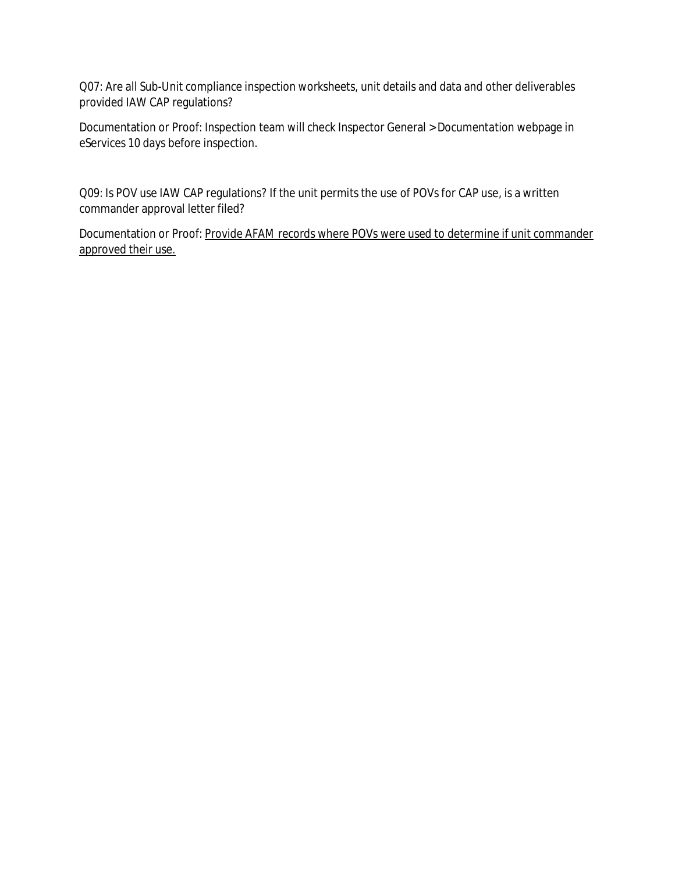Q07: Are all Sub-Unit compliance inspection worksheets, unit details and data and other deliverables provided IAW CAP regulations?

Documentation or Proof: Inspection team will check Inspector General > Documentation webpage in eServices 10 days before inspection.

Q09: Is POV use IAW CAP regulations? If the unit permits the use of POVs for CAP use, is a written commander approval letter filed?

Documentation or Proof: Provide AFAM records where POVs were used to determine if unit commander approved their use.